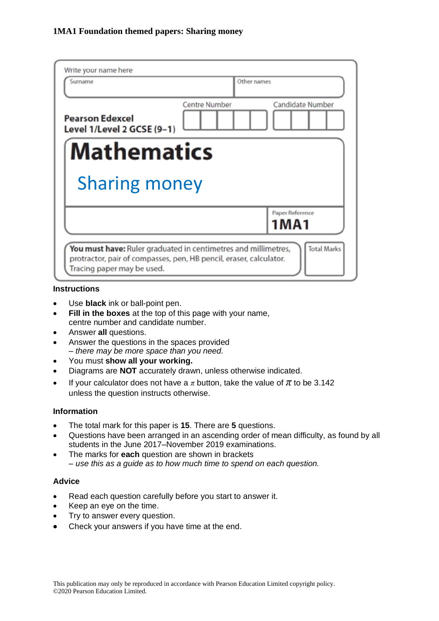| Write your name here<br>Surname                                                                                                                                    |               | Other names                |  |
|--------------------------------------------------------------------------------------------------------------------------------------------------------------------|---------------|----------------------------|--|
| <b>Pearson Edexcel</b><br>Level 1/Level 2 GCSE (9-1)                                                                                                               | Centre Number | Candidate Number           |  |
| <b>Mathematics</b>                                                                                                                                                 |               |                            |  |
| <b>Sharing money</b>                                                                                                                                               |               |                            |  |
|                                                                                                                                                                    |               | Paper Reference<br>1 M A 1 |  |
| You must have: Ruler graduated in centimetres and millimetres,<br>protractor, pair of compasses, pen, HB pencil, eraser, calculator.<br>Tracing paper may be used. |               | <b>Total Marks</b>         |  |

#### **Instructions**

- Use **black** ink or ball-point pen.
- **Fill in the boxes** at the top of this page with your name, centre number and candidate number.
- Answer **all** questions.
- Answer the questions in the spaces provided *– there may be more space than you need.*
- You must **show all your working.**
- Diagrams are **NOT** accurately drawn, unless otherwise indicated.
- If your calculator does not have a  $\pi$  button, take the value of  $\pi$  to be 3.142 unless the question instructs otherwise.

## **Information**

- The total mark for this paper is **15**. There are **5** questions.
- Questions have been arranged in an ascending order of mean difficulty, as found by all students in the June 2017–November 2019 examinations.
- The marks for **each** question are shown in brackets *– use this as a guide as to how much time to spend on each question.*

### **Advice**

- Read each question carefully before you start to answer it.
- Keep an eye on the time.
- Try to answer every question.
- Check your answers if you have time at the end.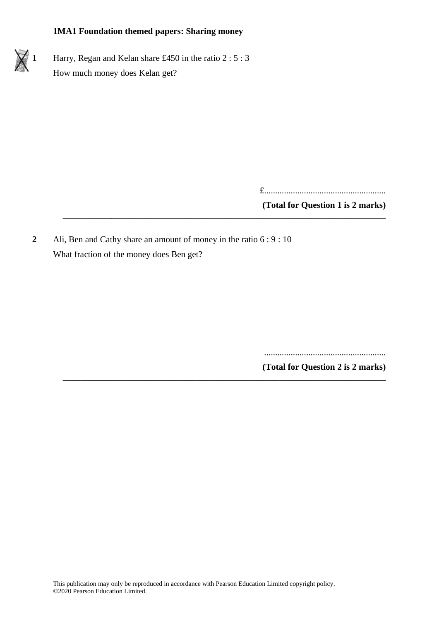

£.......................................................

**(Total for Question 1 is 2 marks)**

**2** Ali, Ben and Cathy share an amount of money in the ratio 6 : 9 : 10 What fraction of the money does Ben get?

**\_\_\_\_\_\_\_\_\_\_\_\_\_\_\_\_\_\_\_\_\_\_\_\_\_\_\_\_\_\_\_\_\_\_\_\_\_\_\_\_\_\_\_\_\_\_\_\_\_\_\_\_\_\_\_\_\_\_\_\_\_\_\_\_\_\_\_\_\_\_\_\_\_**

.......................................................

**(Total for Question 2 is 2 marks) \_\_\_\_\_\_\_\_\_\_\_\_\_\_\_\_\_\_\_\_\_\_\_\_\_\_\_\_\_\_\_\_\_\_\_\_\_\_\_\_\_\_\_\_\_\_\_\_\_\_\_\_\_\_\_\_\_\_\_\_\_\_\_\_\_\_\_\_\_\_\_\_\_**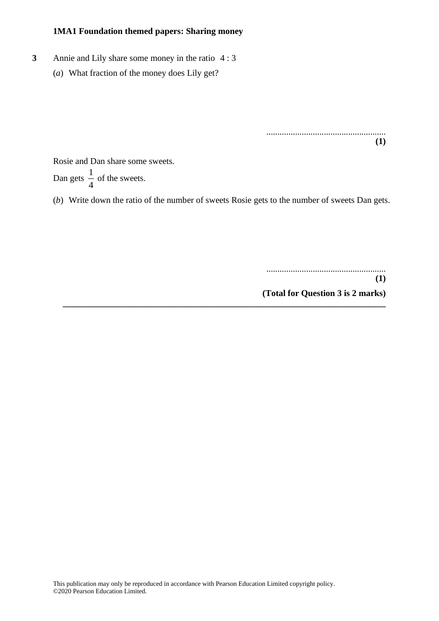- **3** Annie and Lily share some money in the ratio 4 : 3
	- (*a*) What fraction of the money does Lily get?

...................................................... **(1)**

Rosie and Dan share some sweets. Dan gets  $\frac{1}{4}$  $\frac{1}{4}$  of the sweets.

(*b*) Write down the ratio of the number of sweets Rosie gets to the number of sweets Dan gets.

**\_\_\_\_\_\_\_\_\_\_\_\_\_\_\_\_\_\_\_\_\_\_\_\_\_\_\_\_\_\_\_\_\_\_\_\_\_\_\_\_\_\_\_\_\_\_\_\_\_\_\_\_\_\_\_\_\_\_\_\_\_\_\_\_\_\_\_\_\_\_\_\_\_**

......................................................

**(1)**

**(Total for Question 3 is 2 marks)**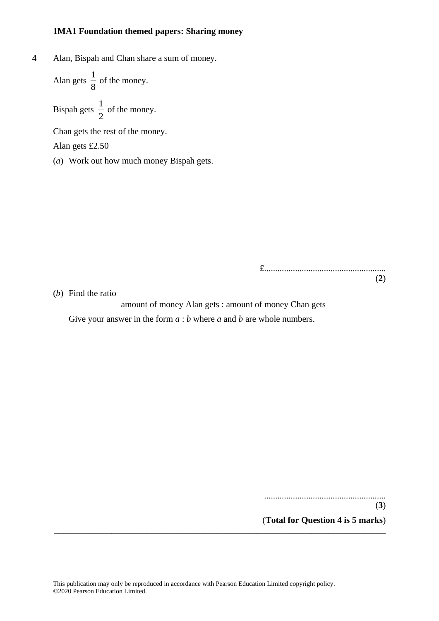**4** Alan, Bispah and Chan share a sum of money.

$$
\\ \text{Alan gets } \frac{1}{8} \text{ of the money.}
$$

Bispah gets  $\frac{1}{2}$  $\frac{1}{2}$  of the money.

Chan gets the rest of the money.

Alan gets £2.50

(*a*) Work out how much money Bispah gets.

£....................................................... (**2**)

(*b*) Find the ratio

amount of money Alan gets : amount of money Chan gets Give your answer in the form  $a : b$  where  $a$  and  $b$  are whole numbers.

> ....................................................... (**3**) (**Total for Question 4 is 5 marks**)

**\_\_\_\_\_\_\_\_\_\_\_\_\_\_\_\_\_\_\_\_\_\_\_\_\_\_\_\_\_\_\_\_\_\_\_\_\_\_\_\_\_\_\_\_\_\_\_\_\_\_\_\_\_\_\_\_\_\_\_\_\_\_\_\_\_\_\_\_\_\_\_\_\_\_\_**